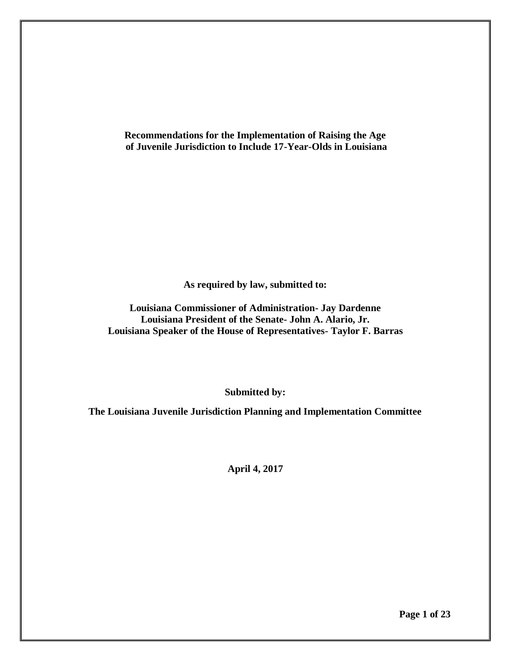**Recommendations for the Implementation of Raising the Age of Juvenile Jurisdiction to Include 17-Year-Olds in Louisiana**

**As required by law, submitted to:**

**Louisiana Commissioner of Administration- Jay Dardenne Louisiana President of the Senate- John A. Alario, Jr. Louisiana Speaker of the House of Representatives- Taylor F. Barras**

**Submitted by:**

**The Louisiana Juvenile Jurisdiction Planning and Implementation Committee**

**April 4, 2017**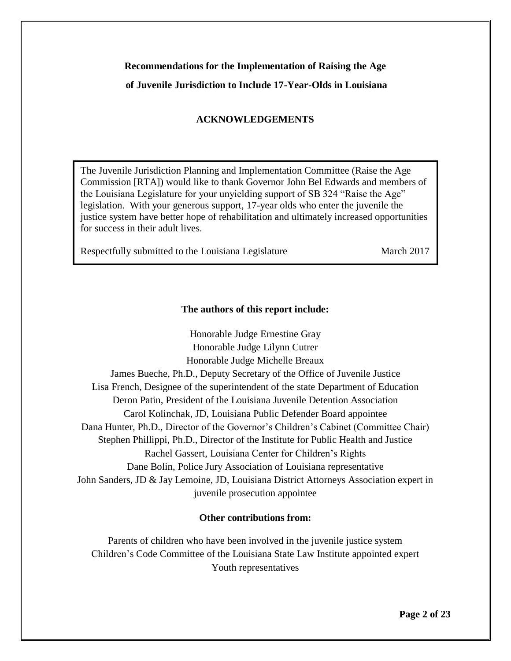# **Recommendations for the Implementation of Raising the Age of Juvenile Jurisdiction to Include 17-Year-Olds in Louisiana**

## **ACKNOWLEDGEMENTS**

The Juvenile Jurisdiction Planning and Implementation Committee (Raise the Age Commission [RTA]) would like to thank Governor John Bel Edwards and members of the Louisiana Legislature for your unyielding support of SB 324 "Raise the Age" legislation. With your generous support, 17-year olds who enter the juvenile the justice system have better hope of rehabilitation and ultimately increased opportunities for success in their adult lives.

Respectfully submitted to the Louisiana Legislature March 2017

## **The authors of this report include:**

Honorable Judge Ernestine Gray Honorable Judge Lilynn Cutrer Honorable Judge Michelle Breaux James Bueche, Ph.D., Deputy Secretary of the Office of Juvenile Justice Lisa French, Designee of the superintendent of the state Department of Education Deron Patin, President of the Louisiana Juvenile Detention Association Carol Kolinchak, JD, Louisiana Public Defender Board appointee Dana Hunter, Ph.D., Director of the Governor's Children's Cabinet (Committee Chair) Stephen Phillippi, Ph.D., Director of the Institute for Public Health and Justice Rachel Gassert, Louisiana Center for Children's Rights Dane Bolin, Police Jury Association of Louisiana representative John Sanders, JD & Jay Lemoine, JD, Louisiana District Attorneys Association expert in juvenile prosecution appointee

#### **Other contributions from:**

Parents of children who have been involved in the juvenile justice system Children's Code Committee of the Louisiana State Law Institute appointed expert Youth representatives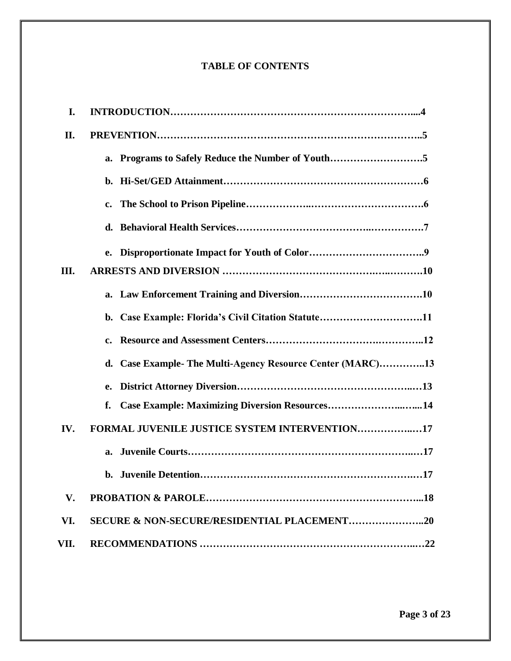# **TABLE OF CONTENTS**

| I.   |                                                               |
|------|---------------------------------------------------------------|
| П.   |                                                               |
|      | a. Programs to Safely Reduce the Number of Youth5             |
|      |                                                               |
|      | $c_{\bullet}$                                                 |
|      |                                                               |
|      |                                                               |
| Ш.   |                                                               |
|      |                                                               |
|      | b. Case Example: Florida's Civil Citation Statute11           |
|      | $c_{\bullet}$                                                 |
|      | Case Example- The Multi-Agency Resource Center (MARC)13<br>d. |
|      | e.                                                            |
|      | Case Example: Maximizing Diversion Resources14<br>f.          |
| IV.  | FORMAL JUVENILE JUSTICE SYSTEM INTERVENTION17                 |
|      |                                                               |
|      |                                                               |
| V.   |                                                               |
| VI.  | <b>SECURE &amp; NON-SECURE/RESIDENTIAL PLACEMENT20</b>        |
| VII. |                                                               |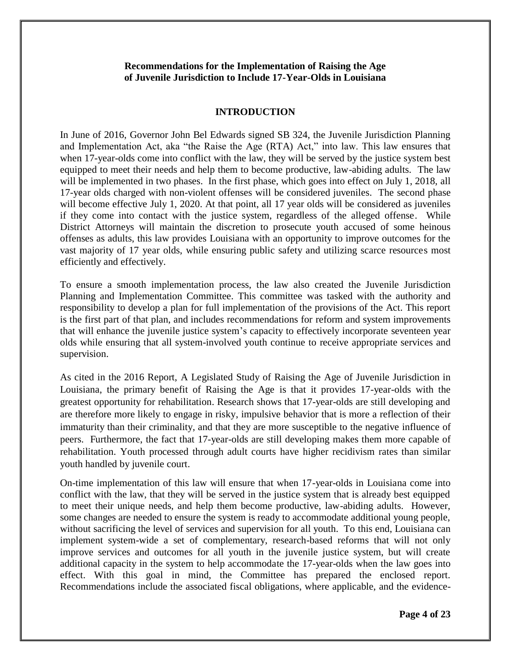#### **Recommendations for the Implementation of Raising the Age of Juvenile Jurisdiction to Include 17-Year-Olds in Louisiana**

#### **INTRODUCTION**

In June of 2016, Governor John Bel Edwards signed SB 324, the Juvenile Jurisdiction Planning and Implementation Act, aka "the Raise the Age (RTA) Act," into law. This law ensures that when 17-year-olds come into conflict with the law, they will be served by the justice system best equipped to meet their needs and help them to become productive, law-abiding adults. The law will be implemented in two phases. In the first phase, which goes into effect on July 1, 2018, all 17-year olds charged with non-violent offenses will be considered juveniles. The second phase will become effective July 1, 2020. At that point, all 17 year olds will be considered as juveniles if they come into contact with the justice system, regardless of the alleged offense. While District Attorneys will maintain the discretion to prosecute youth accused of some heinous offenses as adults, this law provides Louisiana with an opportunity to improve outcomes for the vast majority of 17 year olds, while ensuring public safety and utilizing scarce resources most efficiently and effectively.

To ensure a smooth implementation process, the law also created the Juvenile Jurisdiction Planning and Implementation Committee. This committee was tasked with the authority and responsibility to develop a plan for full implementation of the provisions of the Act. This report is the first part of that plan, and includes recommendations for reform and system improvements that will enhance the juvenile justice system's capacity to effectively incorporate seventeen year olds while ensuring that all system-involved youth continue to receive appropriate services and supervision.

As cited in the 2016 Report, A Legislated Study of Raising the Age of Juvenile Jurisdiction in Louisiana, the primary benefit of Raising the Age is that it provides 17-year-olds with the greatest opportunity for rehabilitation. Research shows that 17-year-olds are still developing and are therefore more likely to engage in risky, impulsive behavior that is more a reflection of their immaturity than their criminality, and that they are more susceptible to the negative influence of peers. Furthermore, the fact that 17-year-olds are still developing makes them more capable of rehabilitation. Youth processed through adult courts have higher recidivism rates than similar youth handled by juvenile court.

On-time implementation of this law will ensure that when 17-year-olds in Louisiana come into conflict with the law, that they will be served in the justice system that is already best equipped to meet their unique needs, and help them become productive, law-abiding adults. However, some changes are needed to ensure the system is ready to accommodate additional young people, without sacrificing the level of services and supervision for all youth. To this end, Louisiana can implement system-wide a set of complementary, research-based reforms that will not only improve services and outcomes for all youth in the juvenile justice system, but will create additional capacity in the system to help accommodate the 17-year-olds when the law goes into effect. With this goal in mind, the Committee has prepared the enclosed report. Recommendations include the associated fiscal obligations, where applicable, and the evidence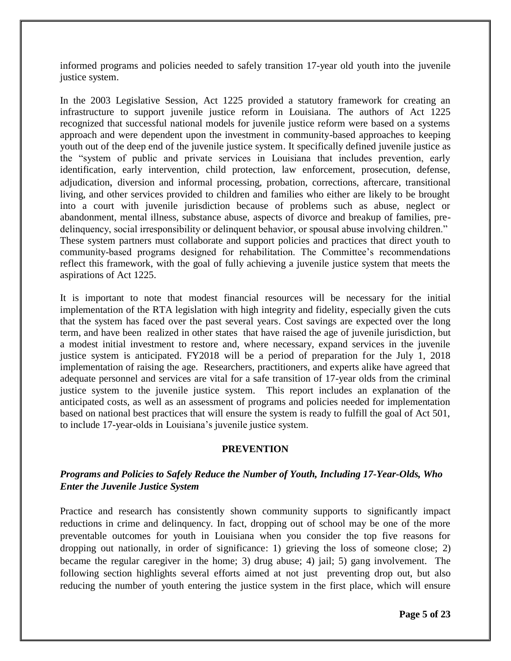informed programs and policies needed to safely transition 17-year old youth into the juvenile justice system.

In the 2003 Legislative Session, Act 1225 provided a statutory framework for creating an infrastructure to support juvenile justice reform in Louisiana. The authors of Act 1225 recognized that successful national models for juvenile justice reform were based on a systems approach and were dependent upon the investment in community-based approaches to keeping youth out of the deep end of the juvenile justice system. It specifically defined juvenile justice as the "system of public and private services in Louisiana that includes prevention, early identification, early intervention, child protection, law enforcement, prosecution, defense, adjudication, diversion and informal processing, probation, corrections, aftercare, transitional living, and other services provided to children and families who either are likely to be brought into a court with juvenile jurisdiction because of problems such as abuse, neglect or abandonment, mental illness, substance abuse, aspects of divorce and breakup of families, predelinquency, social irresponsibility or delinquent behavior, or spousal abuse involving children." These system partners must collaborate and support policies and practices that direct youth to community-based programs designed for rehabilitation. The Committee's recommendations reflect this framework, with the goal of fully achieving a juvenile justice system that meets the aspirations of Act 1225.

It is important to note that modest financial resources will be necessary for the initial implementation of the RTA legislation with high integrity and fidelity, especially given the cuts that the system has faced over the past several years. Cost savings are expected over the long term, and have been realized in other states that have raised the age of juvenile jurisdiction, but a modest initial investment to restore and, where necessary, expand services in the juvenile justice system is anticipated. FY2018 will be a period of preparation for the July 1, 2018 implementation of raising the age. Researchers, practitioners, and experts alike have agreed that adequate personnel and services are vital for a safe transition of 17-year olds from the criminal justice system to the juvenile justice system. This report includes an explanation of the anticipated costs, as well as an assessment of programs and policies needed for implementation based on national best practices that will ensure the system is ready to fulfill the goal of Act 501, to include 17-year-olds in Louisiana's juvenile justice system.

#### **PREVENTION**

## *Programs and Policies to Safely Reduce the Number of Youth, Including 17-Year-Olds, Who Enter the Juvenile Justice System*

Practice and research has consistently shown community supports to significantly impact reductions in crime and delinquency. In fact, dropping out of school may be one of the more preventable outcomes for youth in Louisiana when you consider the top five reasons for dropping out nationally, in order of significance: 1) grieving the loss of someone close; 2) became the regular caregiver in the home; 3) drug abuse; 4) jail; 5) gang involvement. The following section highlights several efforts aimed at not just preventing drop out, but also reducing the number of youth entering the justice system in the first place, which will ensure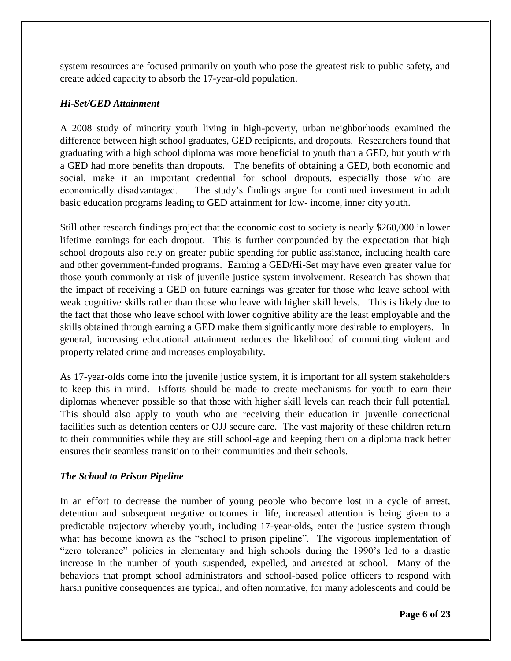system resources are focused primarily on youth who pose the greatest risk to public safety, and create added capacity to absorb the 17-year-old population.

## *Hi-Set/GED Attainment*

A 2008 study of minority youth living in high-poverty, urban neighborhoods examined the difference between high school graduates, GED recipients, and dropouts. Researchers found that graduating with a high school diploma was more beneficial to youth than a GED, but youth with a GED had more benefits than dropouts. The benefits of obtaining a GED, both economic and social, make it an important credential for school dropouts, especially those who are economically disadvantaged. The study's findings argue for continued investment in adult basic education programs leading to GED attainment for low- income, inner city youth.

Still other research findings project that the economic cost to society is nearly \$260,000 in lower lifetime earnings for each dropout. This is further compounded by the expectation that high school dropouts also rely on greater public spending for public assistance, including health care and other government-funded programs. Earning a GED/Hi-Set may have even greater value for those youth commonly at risk of juvenile justice system involvement. Research has shown that the impact of receiving a GED on future earnings was greater for those who leave school with weak cognitive skills rather than those who leave with higher skill levels. This is likely due to the fact that those who leave school with lower cognitive ability are the least employable and the skills obtained through earning a GED make them significantly more desirable to employers. In general, increasing educational attainment reduces the likelihood of committing violent and property related crime and increases employability.

As 17-year-olds come into the juvenile justice system, it is important for all system stakeholders to keep this in mind. Efforts should be made to create mechanisms for youth to earn their diplomas whenever possible so that those with higher skill levels can reach their full potential. This should also apply to youth who are receiving their education in juvenile correctional facilities such as detention centers or OJJ secure care. The vast majority of these children return to their communities while they are still school-age and keeping them on a diploma track better ensures their seamless transition to their communities and their schools.

#### *The School to Prison Pipeline*

In an effort to decrease the number of young people who become lost in a cycle of arrest, detention and subsequent negative outcomes in life, increased attention is being given to a predictable trajectory whereby youth, including 17-year-olds, enter the justice system through what has become known as the "school to prison pipeline". The vigorous implementation of "zero tolerance" policies in elementary and high schools during the 1990's led to a drastic increase in the number of youth suspended, expelled, and arrested at school. Many of the behaviors that prompt school administrators and school-based police officers to respond with harsh punitive consequences are typical, and often normative, for many adolescents and could be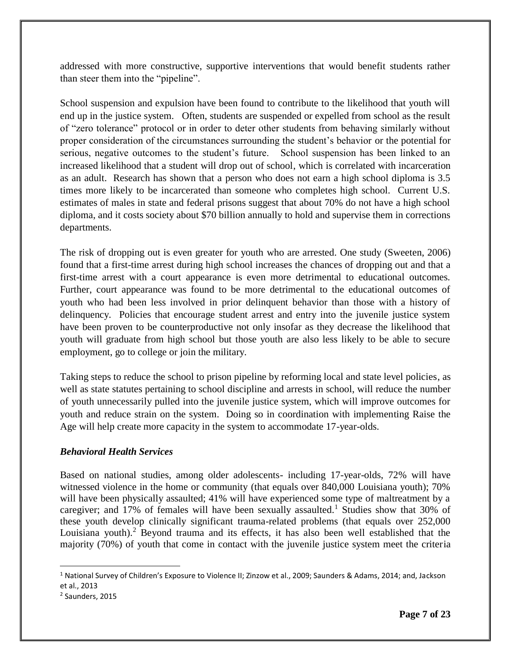addressed with more constructive, supportive interventions that would benefit students rather than steer them into the "pipeline".

School suspension and expulsion have been found to contribute to the likelihood that youth will end up in the justice system. Often, students are suspended or expelled from school as the result of "zero tolerance" protocol or in order to deter other students from behaving similarly without proper consideration of the circumstances surrounding the student's behavior or the potential for serious, negative outcomes to the student's future. School suspension has been linked to an increased likelihood that a student will drop out of school, which is correlated with incarceration as an adult. Research has shown that a person who does not earn a high school diploma is 3.5 times more likely to be incarcerated than someone who completes high school. Current U.S. estimates of males in state and federal prisons suggest that about 70% do not have a high school diploma, and it costs society about \$70 billion annually to hold and supervise them in corrections departments.

The risk of dropping out is even greater for youth who are arrested. One study (Sweeten, 2006) found that a first-time arrest during high school increases the chances of dropping out and that a first-time arrest with a court appearance is even more detrimental to educational outcomes. Further, court appearance was found to be more detrimental to the educational outcomes of youth who had been less involved in prior delinquent behavior than those with a history of delinquency. Policies that encourage student arrest and entry into the juvenile justice system have been proven to be counterproductive not only insofar as they decrease the likelihood that youth will graduate from high school but those youth are also less likely to be able to secure employment, go to college or join the military.

Taking steps to reduce the school to prison pipeline by reforming local and state level policies, as well as state statutes pertaining to school discipline and arrests in school, will reduce the number of youth unnecessarily pulled into the juvenile justice system, which will improve outcomes for youth and reduce strain on the system. Doing so in coordination with implementing Raise the Age will help create more capacity in the system to accommodate 17-year-olds.

## *Behavioral Health Services*

Based on national studies, among older adolescents- including 17-year-olds, 72% will have witnessed violence in the home or community (that equals over 840,000 Louisiana youth); 70% will have been physically assaulted; 41% will have experienced some type of maltreatment by a caregiver; and 17% of females will have been sexually assaulted.<sup>1</sup> Studies show that 30% of these youth develop clinically significant trauma-related problems (that equals over 252,000 Louisiana youth).<sup>2</sup> Beyond trauma and its effects, it has also been well established that the majority (70%) of youth that come in contact with the juvenile justice system meet the criteria

l

<sup>&</sup>lt;sup>1</sup> National Survey of Children's Exposure to Violence II; Zinzow et al., 2009; Saunders & Adams, 2014; and, Jackson et al., 2013

<sup>2</sup> Saunders, 2015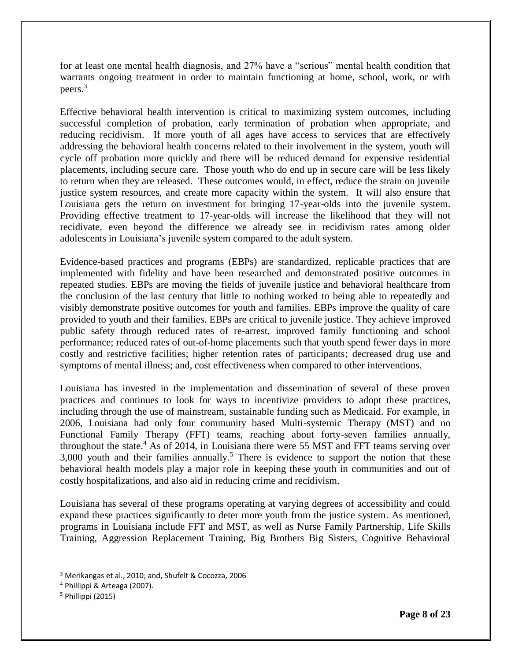for at least one mental health diagnosis, and 27% have a "serious" mental health condition that warrants ongoing treatment in order to maintain functioning at home, school, work, or with peers.<sup>3</sup>

Effective behavioral health intervention is critical to maximizing system outcomes, including successful completion of probation, early termination of probation when appropriate, and reducing recidivism. If more youth of all ages have access to services that are effectively addressing the behavioral health concerns related to their involvement in the system, youth will cycle off probation more quickly and there will be reduced demand for expensive residential placements, including secure care. Those youth who do end up in secure care will be less likely to return when they are released. These outcomes would, in effect, reduce the strain on juvenile justice system resources, and create more capacity within the system. It will also ensure that Louisiana gets the return on investment for bringing 17-year-olds into the juvenile system. Providing effective treatment to 17-year-olds will increase the likelihood that they will not recidivate, even beyond the difference we already see in recidivism rates among older adolescents in Louisiana's juvenile system compared to the adult system.

Evidence-based practices and programs (EBPs) are standardized, replicable practices that are implemented with fidelity and have been researched and demonstrated positive outcomes in repeated studies. EBPs are moving the fields of juvenile justice and behavioral healthcare from the conclusion of the last century that little to nothing worked to being able to repeatedly and visibly demonstrate positive outcomes for youth and families. EBPs improve the quality of care provided to youth and their families. EBPs are critical to juvenile justice. They achieve improved public safety through reduced rates of re-arrest, improved family functioning and school performance; reduced rates of out-of-home placements such that youth spend fewer days in more costly and restrictive facilities; higher retention rates of participants; decreased drug use and symptoms of mental illness; and, cost effectiveness when compared to other interventions.

Louisiana has invested in the implementation and dissemination of several of these proven practices and continues to look for ways to incentivize providers to adopt these practices, including through the use of mainstream, sustainable funding such as Medicaid. For example, in 2006, Louisiana had only four community based Multi-systemic Therapy (MST) and no Functional Family Therapy (FFT) teams, reaching about forty-seven families annually, throughout the state.<sup>4</sup> As of 2014, in Louisiana there were 55 MST and FFT teams serving over  $3,000$  youth and their families annually.<sup>5</sup> There is evidence to support the notion that these behavioral health models play a major role in keeping these youth in communities and out of costly hospitalizations, and also aid in reducing crime and recidivism.

Louisiana has several of these programs operating at varying degrees of accessibility and could expand these practices significantly to deter more youth from the justice system. As mentioned, programs in Louisiana include FFT and MST, as well as Nurse Family Partnership, Life Skills Training, Aggression Replacement Training, Big Brothers Big Sisters, Cognitive Behavioral

l

<sup>3</sup> Merikangas et al., 2010; and, Shufelt & Cocozza, 2006

<sup>4</sup> Phillippi & Arteaga (2007).

<sup>5</sup> Phillippi (2015)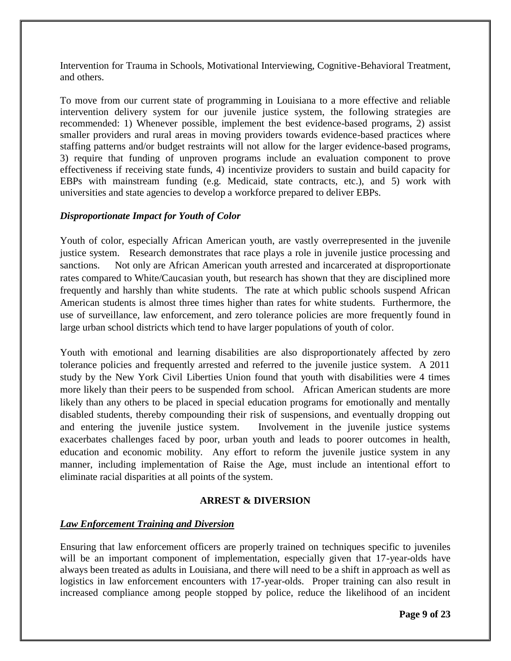Intervention for Trauma in Schools, Motivational Interviewing, Cognitive-Behavioral Treatment, and others.

To move from our current state of programming in Louisiana to a more effective and reliable intervention delivery system for our juvenile justice system, the following strategies are recommended: 1) Whenever possible, implement the best evidence-based programs, 2) assist smaller providers and rural areas in moving providers towards evidence-based practices where staffing patterns and/or budget restraints will not allow for the larger evidence-based programs, 3) require that funding of unproven programs include an evaluation component to prove effectiveness if receiving state funds, 4) incentivize providers to sustain and build capacity for EBPs with mainstream funding (e.g. Medicaid, state contracts, etc.), and 5) work with universities and state agencies to develop a workforce prepared to deliver EBPs.

## *Disproportionate Impact for Youth of Color*

Youth of color, especially African American youth, are vastly overrepresented in the juvenile justice system. Research demonstrates that race plays a role in juvenile justice processing and sanctions. Not only are African American youth arrested and incarcerated at disproportionate rates compared to White/Caucasian youth, but research has shown that they are disciplined more frequently and harshly than white students. The rate at which public schools suspend African American students is almost three times higher than rates for white students. Furthermore, the use of surveillance, law enforcement, and zero tolerance policies are more frequently found in large urban school districts which tend to have larger populations of youth of color.

Youth with emotional and learning disabilities are also disproportionately affected by zero tolerance policies and frequently arrested and referred to the juvenile justice system. A 2011 study by the New York Civil Liberties Union found that youth with disabilities were 4 times more likely than their peers to be suspended from school. African American students are more likely than any others to be placed in special education programs for emotionally and mentally disabled students, thereby compounding their risk of suspensions, and eventually dropping out and entering the juvenile justice system. Involvement in the juvenile justice systems exacerbates challenges faced by poor, urban youth and leads to poorer outcomes in health, education and economic mobility. Any effort to reform the juvenile justice system in any manner, including implementation of Raise the Age, must include an intentional effort to eliminate racial disparities at all points of the system.

#### **ARREST & DIVERSION**

## *Law Enforcement Training and Diversion*

Ensuring that law enforcement officers are properly trained on techniques specific to juveniles will be an important component of implementation, especially given that 17-year-olds have always been treated as adults in Louisiana, and there will need to be a shift in approach as well as logistics in law enforcement encounters with 17-year-olds. Proper training can also result in increased compliance among people stopped by police, reduce the likelihood of an incident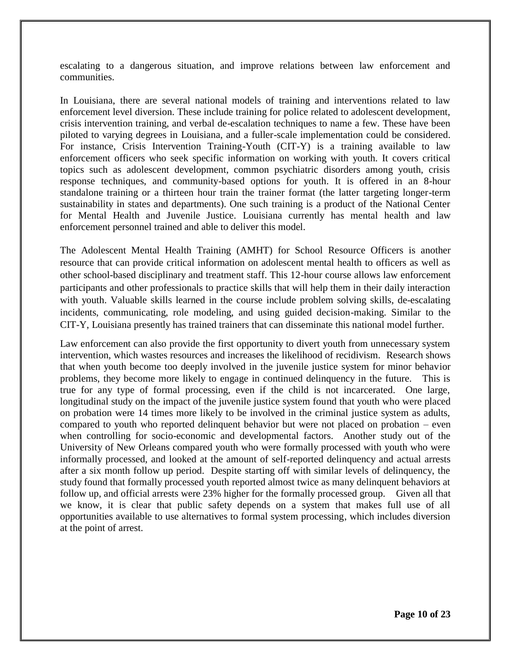escalating to a dangerous situation, and improve relations between law enforcement and communities.

In Louisiana, there are several national models of training and interventions related to law enforcement level diversion. These include training for police related to adolescent development, crisis intervention training, and verbal de-escalation techniques to name a few. These have been piloted to varying degrees in Louisiana, and a fuller-scale implementation could be considered. For instance, Crisis Intervention Training-Youth (CIT-Y) is a training available to law enforcement officers who seek specific information on working with youth. It covers critical topics such as adolescent development, common psychiatric disorders among youth, crisis response techniques, and community-based options for youth. It is offered in an 8-hour standalone training or a thirteen hour train the trainer format (the latter targeting longer-term sustainability in states and departments). One such training is a product of the National Center for Mental Health and Juvenile Justice. Louisiana currently has mental health and law enforcement personnel trained and able to deliver this model.

The Adolescent Mental Health Training (AMHT) for School Resource Officers is another resource that can provide critical information on adolescent mental health to officers as well as other school-based disciplinary and treatment staff. This 12-hour course allows law enforcement participants and other professionals to practice skills that will help them in their daily interaction with youth. Valuable skills learned in the course include problem solving skills, de-escalating incidents, communicating, role modeling, and using guided decision-making. Similar to the CIT-Y, Louisiana presently has trained trainers that can disseminate this national model further.

Law enforcement can also provide the first opportunity to divert youth from unnecessary system intervention, which wastes resources and increases the likelihood of recidivism. Research shows that when youth become too deeply involved in the juvenile justice system for minor behavior problems, they become more likely to engage in continued delinquency in the future. This is true for any type of formal processing, even if the child is not incarcerated. One large, longitudinal study on the impact of the juvenile justice system found that youth who were placed on probation were 14 times more likely to be involved in the criminal justice system as adults, compared to youth who reported delinquent behavior but were not placed on probation – even when controlling for socio-economic and developmental factors. Another study out of the University of New Orleans compared youth who were formally processed with youth who were informally processed, and looked at the amount of self-reported delinquency and actual arrests after a six month follow up period. Despite starting off with similar levels of delinquency, the study found that formally processed youth reported almost twice as many delinquent behaviors at follow up, and official arrests were 23% higher for the formally processed group. Given all that we know, it is clear that public safety depends on a system that makes full use of all opportunities available to use alternatives to formal system processing, which includes diversion at the point of arrest.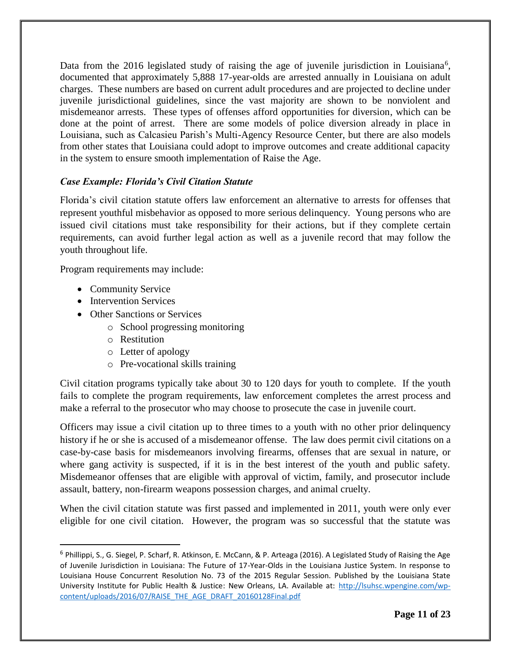Data from the 2016 legislated study of raising the age of juvenile jurisdiction in Louisiana<sup>6</sup>, documented that approximately 5,888 17-year-olds are arrested annually in Louisiana on adult charges. These numbers are based on current adult procedures and are projected to decline under juvenile jurisdictional guidelines, since the vast majority are shown to be nonviolent and misdemeanor arrests. These types of offenses afford opportunities for diversion, which can be done at the point of arrest. There are some models of police diversion already in place in Louisiana, such as Calcasieu Parish's Multi-Agency Resource Center, but there are also models from other states that Louisiana could adopt to improve outcomes and create additional capacity in the system to ensure smooth implementation of Raise the Age.

## *Case Example: Florida's Civil Citation Statute*

Florida's civil citation statute offers law enforcement an alternative to arrests for offenses that represent youthful misbehavior as opposed to more serious delinquency. Young persons who are issued civil citations must take responsibility for their actions, but if they complete certain requirements, can avoid further legal action as well as a juvenile record that may follow the youth throughout life.

Program requirements may include:

• Community Service

 $\overline{a}$ 

- Intervention Services
- Other Sanctions or Services
	- o School progressing monitoring
	- o Restitution
	- o Letter of apology
	- o Pre-vocational skills training

Civil citation programs typically take about 30 to 120 days for youth to complete. If the youth fails to complete the program requirements, law enforcement completes the arrest process and make a referral to the prosecutor who may choose to prosecute the case in juvenile court.

Officers may issue a civil citation up to three times to a youth with no other prior delinquency history if he or she is accused of a misdemeanor offense. The law does permit civil citations on a case-by-case basis for misdemeanors involving firearms, offenses that are sexual in nature, or where gang activity is suspected, if it is in the best interest of the youth and public safety. Misdemeanor offenses that are eligible with approval of victim, family, and prosecutor include assault, battery, non-firearm weapons possession charges, and animal cruelty.

When the civil citation statute was first passed and implemented in 2011, youth were only ever eligible for one civil citation. However, the program was so successful that the statute was

<sup>&</sup>lt;sup>6</sup> Phillippi, S., G. Siegel, P. Scharf, R. Atkinson, E. McCann, & P. Arteaga (2016). A Legislated Study of Raising the Age of Juvenile Jurisdiction in Louisiana: The Future of 17-Year-Olds in the Louisiana Justice System. In response to Louisiana House Concurrent Resolution No. 73 of the 2015 Regular Session. Published by the Louisiana State University Institute for Public Health & Justice: New Orleans, LA. Available at: [http://lsuhsc.wpengine.com/wp](http://lsuhsc.wpengine.com/wp-content/uploads/2016/07/RAISE_THE_AGE_DRAFT_20160128Final.pdf)[content/uploads/2016/07/RAISE\\_THE\\_AGE\\_DRAFT\\_20160128Final.pdf](http://lsuhsc.wpengine.com/wp-content/uploads/2016/07/RAISE_THE_AGE_DRAFT_20160128Final.pdf)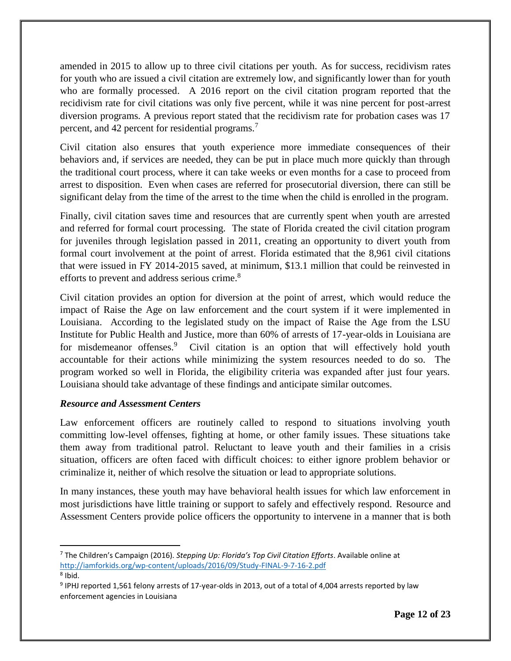amended in 2015 to allow up to three civil citations per youth. As for success, recidivism rates for youth who are issued a civil citation are extremely low, and significantly lower than for youth who are formally processed. A 2016 report on the civil citation program reported that the recidivism rate for civil citations was only five percent, while it was nine percent for post-arrest diversion programs. A previous report stated that the recidivism rate for probation cases was 17 percent, and 42 percent for residential programs.<sup>7</sup>

Civil citation also ensures that youth experience more immediate consequences of their behaviors and, if services are needed, they can be put in place much more quickly than through the traditional court process, where it can take weeks or even months for a case to proceed from arrest to disposition. Even when cases are referred for prosecutorial diversion, there can still be significant delay from the time of the arrest to the time when the child is enrolled in the program.

Finally, civil citation saves time and resources that are currently spent when youth are arrested and referred for formal court processing. The state of Florida created the civil citation program for juveniles through legislation passed in 2011, creating an opportunity to divert youth from formal court involvement at the point of arrest. Florida estimated that the 8,961 civil citations that were issued in FY 2014-2015 saved, at minimum, \$13.1 million that could be reinvested in efforts to prevent and address serious crime.<sup>8</sup>

Civil citation provides an option for diversion at the point of arrest, which would reduce the impact of Raise the Age on law enforcement and the court system if it were implemented in Louisiana. According to the legislated study on the impact of Raise the Age from the LSU Institute for Public Health and Justice, more than 60% of arrests of 17-year-olds in Louisiana are for misdemeanor offenses.<sup>9</sup> Civil citation is an option that will effectively hold youth accountable for their actions while minimizing the system resources needed to do so. The program worked so well in Florida, the eligibility criteria was expanded after just four years. Louisiana should take advantage of these findings and anticipate similar outcomes.

## *Resource and Assessment Centers*

l

Law enforcement officers are routinely called to respond to situations involving youth committing low-level offenses, fighting at home, or other family issues. These situations take them away from traditional patrol. Reluctant to leave youth and their families in a crisis situation, officers are often faced with difficult choices: to either ignore problem behavior or criminalize it, neither of which resolve the situation or lead to appropriate solutions.

In many instances, these youth may have behavioral health issues for which law enforcement in most jurisdictions have little training or support to safely and effectively respond. Resource and Assessment Centers provide police officers the opportunity to intervene in a manner that is both

<sup>7</sup> The Children's Campaign (2016). *Stepping Up: Florida's Top Civil Citation Efforts*. Available online at <http://iamforkids.org/wp-content/uploads/2016/09/Study-FINAL-9-7-16-2.pdf> 8 Ibid.

 $9$  IPHJ reported 1,561 felony arrests of 17-year-olds in 2013, out of a total of 4,004 arrests reported by law enforcement agencies in Louisiana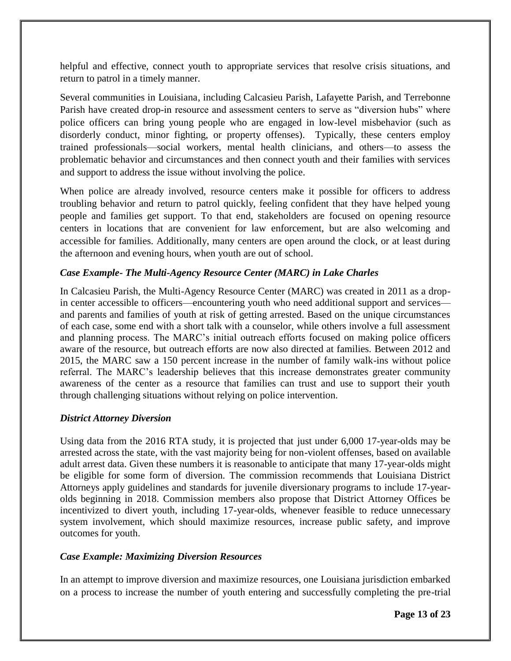helpful and effective, connect youth to appropriate services that resolve crisis situations, and return to patrol in a timely manner.

Several communities in Louisiana, including Calcasieu Parish, Lafayette Parish, and Terrebonne Parish have created drop-in resource and assessment centers to serve as "diversion hubs" where police officers can bring young people who are engaged in low-level misbehavior (such as disorderly conduct, minor fighting, or property offenses). Typically, these centers employ trained professionals—social workers, mental health clinicians, and others—to assess the problematic behavior and circumstances and then connect youth and their families with services and support to address the issue without involving the police.

When police are already involved, resource centers make it possible for officers to address troubling behavior and return to patrol quickly, feeling confident that they have helped young people and families get support. To that end, stakeholders are focused on opening resource centers in locations that are convenient for law enforcement, but are also welcoming and accessible for families. Additionally, many centers are open around the clock, or at least during the afternoon and evening hours, when youth are out of school.

## *Case Example- The Multi-Agency Resource Center (MARC) in Lake Charles*

In Calcasieu Parish, the Multi-Agency Resource Center (MARC) was created in 2011 as a dropin center accessible to officers—encountering youth who need additional support and services and parents and families of youth at risk of getting arrested. Based on the unique circumstances of each case, some end with a short talk with a counselor, while others involve a full assessment and planning process. The MARC's initial outreach efforts focused on making police officers aware of the resource, but outreach efforts are now also directed at families. Between 2012 and 2015, the MARC saw a 150 percent increase in the number of family walk-ins without police referral. The MARC's leadership believes that this increase demonstrates greater community awareness of the center as a resource that families can trust and use to support their youth through challenging situations without relying on police intervention.

#### *District Attorney Diversion*

Using data from the 2016 RTA study, it is projected that just under 6,000 17-year-olds may be arrested across the state, with the vast majority being for non-violent offenses, based on available adult arrest data. Given these numbers it is reasonable to anticipate that many 17-year-olds might be eligible for some form of diversion. The commission recommends that Louisiana District Attorneys apply guidelines and standards for juvenile diversionary programs to include 17-yearolds beginning in 2018. Commission members also propose that District Attorney Offices be incentivized to divert youth, including 17-year-olds, whenever feasible to reduce unnecessary system involvement, which should maximize resources, increase public safety, and improve outcomes for youth.

#### *Case Example: Maximizing Diversion Resources*

In an attempt to improve diversion and maximize resources, one Louisiana jurisdiction embarked on a process to increase the number of youth entering and successfully completing the pre-trial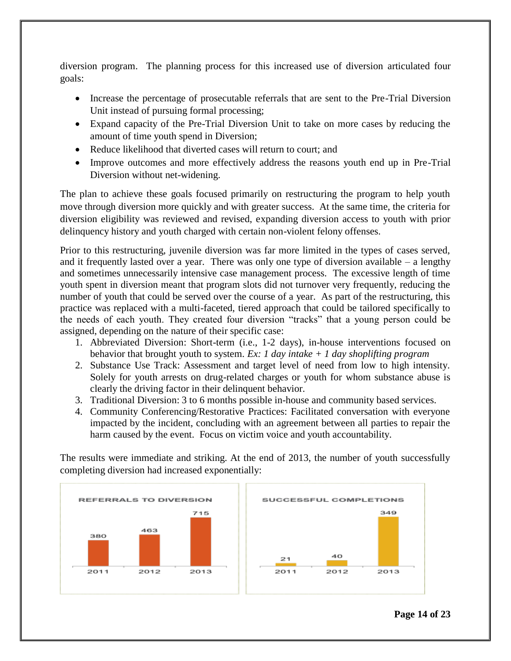diversion program. The planning process for this increased use of diversion articulated four goals:

- Increase the percentage of prosecutable referrals that are sent to the Pre-Trial Diversion Unit instead of pursuing formal processing;
- Expand capacity of the Pre-Trial Diversion Unit to take on more cases by reducing the amount of time youth spend in Diversion;
- Reduce likelihood that diverted cases will return to court; and
- Improve outcomes and more effectively address the reasons youth end up in Pre-Trial Diversion without net-widening.

The plan to achieve these goals focused primarily on restructuring the program to help youth move through diversion more quickly and with greater success. At the same time, the criteria for diversion eligibility was reviewed and revised, expanding diversion access to youth with prior delinquency history and youth charged with certain non-violent felony offenses.

Prior to this restructuring, juvenile diversion was far more limited in the types of cases served, and it frequently lasted over a year. There was only one type of diversion available  $-$  a lengthy and sometimes unnecessarily intensive case management process. The excessive length of time youth spent in diversion meant that program slots did not turnover very frequently, reducing the number of youth that could be served over the course of a year. As part of the restructuring, this practice was replaced with a multi-faceted, tiered approach that could be tailored specifically to the needs of each youth. They created four diversion "tracks" that a young person could be assigned, depending on the nature of their specific case:

- 1. Abbreviated Diversion: Short-term (i.e., 1-2 days), in-house interventions focused on behavior that brought youth to system. *Ex: 1 day intake + 1 day shoplifting program*
- 2. Substance Use Track: Assessment and target level of need from low to high intensity. Solely for youth arrests on drug-related charges or youth for whom substance abuse is clearly the driving factor in their delinquent behavior.
- 3. Traditional Diversion: 3 to 6 months possible in-house and community based services.
- 4. Community Conferencing/Restorative Practices: Facilitated conversation with everyone impacted by the incident, concluding with an agreement between all parties to repair the harm caused by the event. Focus on victim voice and youth accountability.

The results were immediate and striking. At the end of 2013, the number of youth successfully completing diversion had increased exponentially:

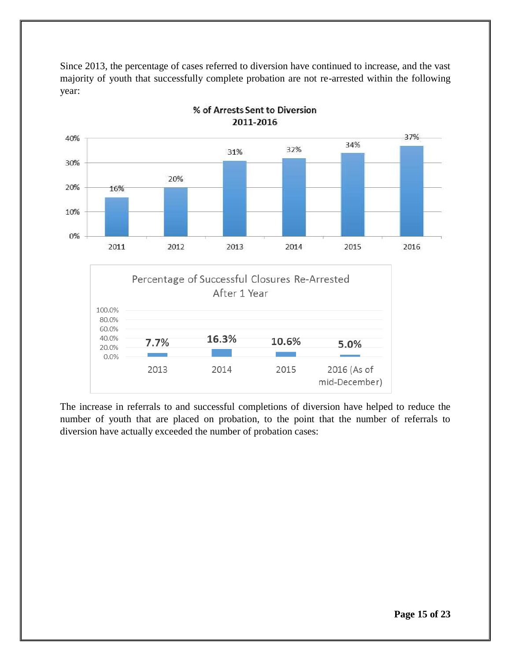Since 2013, the percentage of cases referred to diversion have continued to increase, and the vast majority of youth that successfully complete probation are not re-arrested within the following year:



% of Arrests Sent to Diversion 2011-2016

The increase in referrals to and successful completions of diversion have helped to reduce the number of youth that are placed on probation, to the point that the number of referrals to diversion have actually exceeded the number of probation cases: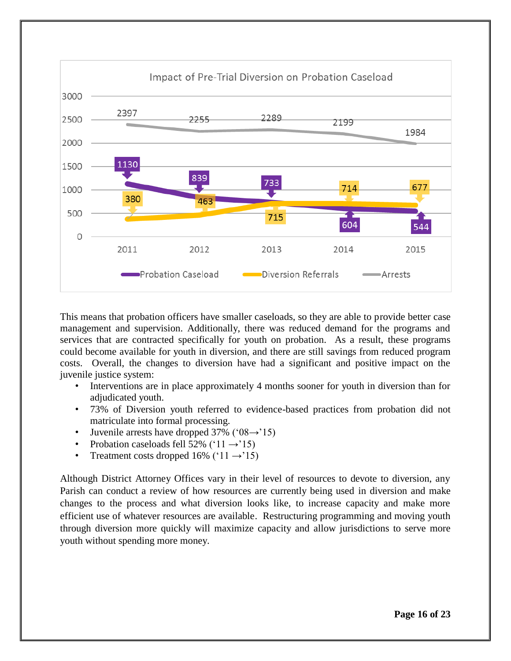

This means that probation officers have smaller caseloads, so they are able to provide better case management and supervision. Additionally, there was reduced demand for the programs and services that are contracted specifically for youth on probation. As a result, these programs could become available for youth in diversion, and there are still savings from reduced program costs. Overall, the changes to diversion have had a significant and positive impact on the juvenile justice system:

- Interventions are in place approximately 4 months sooner for youth in diversion than for adjudicated youth.
- 73% of Diversion youth referred to evidence-based practices from probation did not matriculate into formal processing.
- Juvenile arrests have dropped 37% ( $08 \rightarrow 15$ )
- Probation caseloads fell 52% (' $11 \rightarrow 15$ )
- Treatment costs dropped 16% (' $11 \rightarrow 15$ )

Although District Attorney Offices vary in their level of resources to devote to diversion, any Parish can conduct a review of how resources are currently being used in diversion and make changes to the process and what diversion looks like, to increase capacity and make more efficient use of whatever resources are available. Restructuring programming and moving youth through diversion more quickly will maximize capacity and allow jurisdictions to serve more youth without spending more money.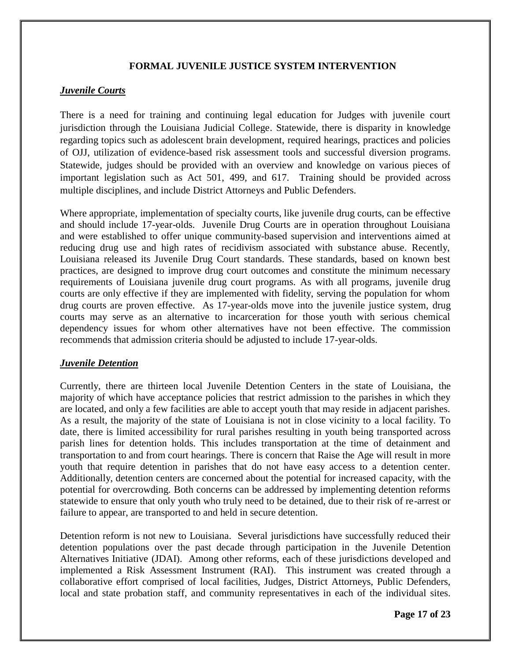## **FORMAL JUVENILE JUSTICE SYSTEM INTERVENTION**

## *Juvenile Courts*

There is a need for training and continuing legal education for Judges with juvenile court jurisdiction through the Louisiana Judicial College. Statewide, there is disparity in knowledge regarding topics such as adolescent brain development, required hearings, practices and policies of OJJ, utilization of evidence-based risk assessment tools and successful diversion programs. Statewide, judges should be provided with an overview and knowledge on various pieces of important legislation such as Act 501, 499, and 617. Training should be provided across multiple disciplines, and include District Attorneys and Public Defenders.

Where appropriate, implementation of specialty courts, like juvenile drug courts, can be effective and should include 17-year-olds. Juvenile Drug Courts are in operation throughout Louisiana and were established to offer unique community-based supervision and interventions aimed at reducing drug use and high rates of recidivism associated with substance abuse. Recently, Louisiana released its Juvenile Drug Court standards. These standards, based on known best practices, are designed to improve drug court outcomes and constitute the minimum necessary requirements of Louisiana juvenile drug court programs. As with all programs, juvenile drug courts are only effective if they are implemented with fidelity, serving the population for whom drug courts are proven effective. As 17-year-olds move into the juvenile justice system, drug courts may serve as an alternative to incarceration for those youth with serious chemical dependency issues for whom other alternatives have not been effective. The commission recommends that admission criteria should be adjusted to include 17-year-olds.

#### *Juvenile Detention*

Currently, there are thirteen local Juvenile Detention Centers in the state of Louisiana, the majority of which have acceptance policies that restrict admission to the parishes in which they are located, and only a few facilities are able to accept youth that may reside in adjacent parishes. As a result, the majority of the state of Louisiana is not in close vicinity to a local facility. To date, there is limited accessibility for rural parishes resulting in youth being transported across parish lines for detention holds. This includes transportation at the time of detainment and transportation to and from court hearings. There is concern that Raise the Age will result in more youth that require detention in parishes that do not have easy access to a detention center. Additionally, detention centers are concerned about the potential for increased capacity, with the potential for overcrowding. Both concerns can be addressed by implementing detention reforms statewide to ensure that only youth who truly need to be detained, due to their risk of re-arrest or failure to appear, are transported to and held in secure detention.

Detention reform is not new to Louisiana. Several jurisdictions have successfully reduced their detention populations over the past decade through participation in the Juvenile Detention Alternatives Initiative (JDAI). Among other reforms, each of these jurisdictions developed and implemented a Risk Assessment Instrument (RAI). This instrument was created through a collaborative effort comprised of local facilities, Judges, District Attorneys, Public Defenders, local and state probation staff, and community representatives in each of the individual sites.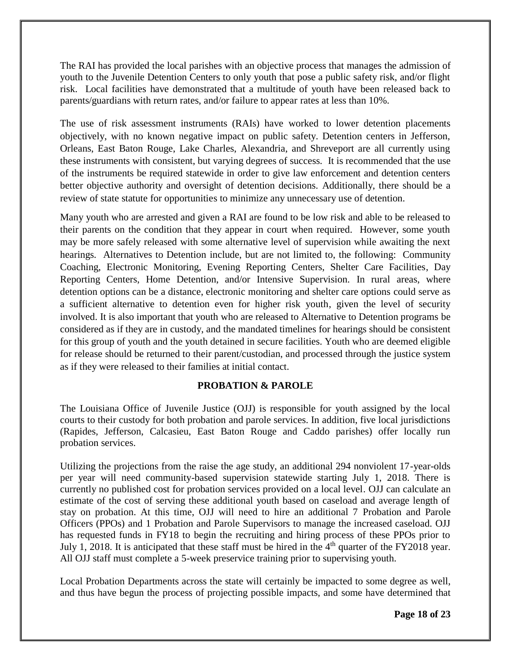The RAI has provided the local parishes with an objective process that manages the admission of youth to the Juvenile Detention Centers to only youth that pose a public safety risk, and/or flight risk. Local facilities have demonstrated that a multitude of youth have been released back to parents/guardians with return rates, and/or failure to appear rates at less than 10%.

The use of risk assessment instruments (RAIs) have worked to lower detention placements objectively, with no known negative impact on public safety. Detention centers in Jefferson, Orleans, East Baton Rouge, Lake Charles, Alexandria, and Shreveport are all currently using these instruments with consistent, but varying degrees of success. It is recommended that the use of the instruments be required statewide in order to give law enforcement and detention centers better objective authority and oversight of detention decisions. Additionally, there should be a review of state statute for opportunities to minimize any unnecessary use of detention.

Many youth who are arrested and given a RAI are found to be low risk and able to be released to their parents on the condition that they appear in court when required. However, some youth may be more safely released with some alternative level of supervision while awaiting the next hearings. Alternatives to Detention include, but are not limited to, the following: Community Coaching, Electronic Monitoring, Evening Reporting Centers, Shelter Care Facilities, Day Reporting Centers, Home Detention, and/or Intensive Supervision. In rural areas, where detention options can be a distance, electronic monitoring and shelter care options could serve as a sufficient alternative to detention even for higher risk youth, given the level of security involved. It is also important that youth who are released to Alternative to Detention programs be considered as if they are in custody, and the mandated timelines for hearings should be consistent for this group of youth and the youth detained in secure facilities. Youth who are deemed eligible for release should be returned to their parent/custodian, and processed through the justice system as if they were released to their families at initial contact.

## **PROBATION & PAROLE**

The Louisiana Office of Juvenile Justice (OJJ) is responsible for youth assigned by the local courts to their custody for both probation and parole services. In addition, five local jurisdictions (Rapides, Jefferson, Calcasieu, East Baton Rouge and Caddo parishes) offer locally run probation services.

Utilizing the projections from the raise the age study, an additional 294 nonviolent 17-year-olds per year will need community-based supervision statewide starting July 1, 2018. There is currently no published cost for probation services provided on a local level. OJJ can calculate an estimate of the cost of serving these additional youth based on caseload and average length of stay on probation. At this time, OJJ will need to hire an additional 7 Probation and Parole Officers (PPOs) and 1 Probation and Parole Supervisors to manage the increased caseload. OJJ has requested funds in FY18 to begin the recruiting and hiring process of these PPOs prior to July 1, 2018. It is anticipated that these staff must be hired in the  $4<sup>th</sup>$  quarter of the FY2018 year. All OJJ staff must complete a 5-week preservice training prior to supervising youth.

Local Probation Departments across the state will certainly be impacted to some degree as well, and thus have begun the process of projecting possible impacts, and some have determined that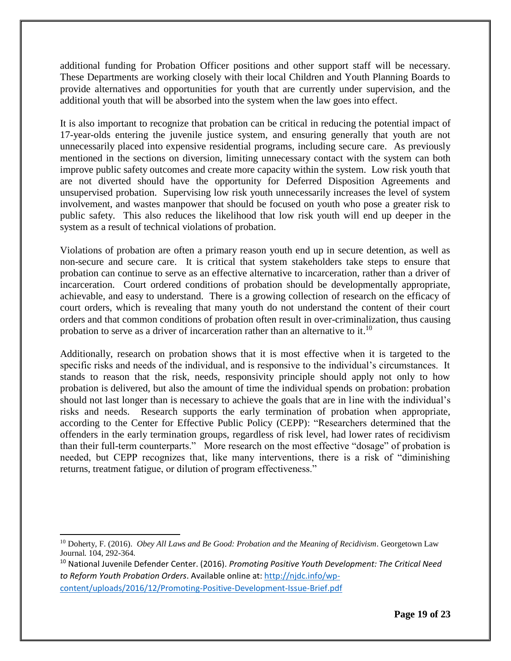additional funding for Probation Officer positions and other support staff will be necessary. These Departments are working closely with their local Children and Youth Planning Boards to provide alternatives and opportunities for youth that are currently under supervision, and the additional youth that will be absorbed into the system when the law goes into effect.

It is also important to recognize that probation can be critical in reducing the potential impact of 17-year-olds entering the juvenile justice system, and ensuring generally that youth are not unnecessarily placed into expensive residential programs, including secure care. As previously mentioned in the sections on diversion, limiting unnecessary contact with the system can both improve public safety outcomes and create more capacity within the system. Low risk youth that are not diverted should have the opportunity for Deferred Disposition Agreements and unsupervised probation. Supervising low risk youth unnecessarily increases the level of system involvement, and wastes manpower that should be focused on youth who pose a greater risk to public safety. This also reduces the likelihood that low risk youth will end up deeper in the system as a result of technical violations of probation.

Violations of probation are often a primary reason youth end up in secure detention, as well as non-secure and secure care. It is critical that system stakeholders take steps to ensure that probation can continue to serve as an effective alternative to incarceration, rather than a driver of incarceration. Court ordered conditions of probation should be developmentally appropriate, achievable, and easy to understand. There is a growing collection of research on the efficacy of court orders, which is revealing that many youth do not understand the content of their court orders and that common conditions of probation often result in over-criminalization, thus causing probation to serve as a driver of incarceration rather than an alternative to it.<sup>10</sup>

Additionally, research on probation shows that it is most effective when it is targeted to the specific risks and needs of the individual, and is responsive to the individual's circumstances. It stands to reason that the risk, needs, responsivity principle should apply not only to how probation is delivered, but also the amount of time the individual spends on probation: probation should not last longer than is necessary to achieve the goals that are in line with the individual's risks and needs. Research supports the early termination of probation when appropriate, according to the Center for Effective Public Policy (CEPP): "Researchers determined that the offenders in the early termination groups, regardless of risk level, had lower rates of recidivism than their full-term counterparts." More research on the most effective "dosage" of probation is needed, but CEPP recognizes that, like many interventions, there is a risk of "diminishing returns, treatment fatigue, or dilution of program effectiveness."

 $\overline{a}$ <sup>10</sup> Doherty, F. (2016). *Obey All Laws and Be Good: Probation and the Meaning of Recidivism*. Georgetown Law Journal. 104, 292-364.

<sup>10</sup> National Juvenile Defender Center. (2016). *Promoting Positive Youth Development: The Critical Need to Reform Youth Probation Orders*. Available online at: [http://njdc.info/wp](http://njdc.info/wp-content/uploads/2016/12/Promoting-Positive-Development-Issue-Brief.pdf)[content/uploads/2016/12/Promoting-Positive-Development-Issue-Brief.pdf](http://njdc.info/wp-content/uploads/2016/12/Promoting-Positive-Development-Issue-Brief.pdf)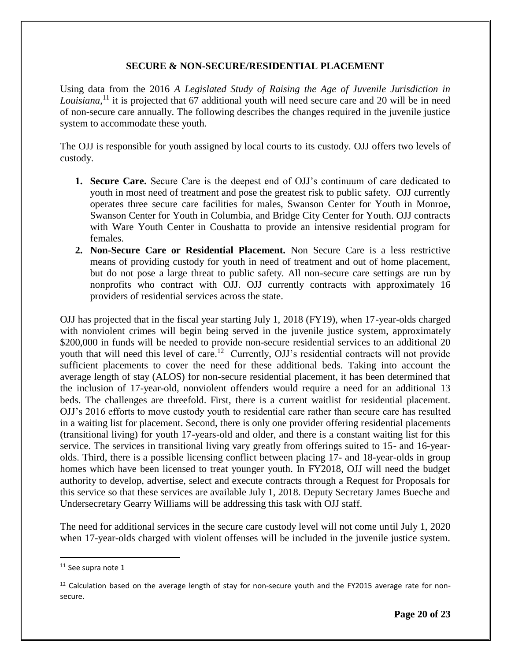## **SECURE & NON-SECURE/RESIDENTIAL PLACEMENT**

Using data from the 2016 *A Legislated Study of Raising the Age of Juvenile Jurisdiction in*  Louisiana,<sup>11</sup> it is projected that 67 additional youth will need secure care and 20 will be in need of non-secure care annually. The following describes the changes required in the juvenile justice system to accommodate these youth.

The OJJ is responsible for youth assigned by local courts to its custody. OJJ offers two levels of custody.

- **1. Secure Care.** Secure Care is the deepest end of OJJ's continuum of care dedicated to youth in most need of treatment and pose the greatest risk to public safety. OJJ currently operates three secure care facilities for males, Swanson Center for Youth in Monroe, Swanson Center for Youth in Columbia, and Bridge City Center for Youth. OJJ contracts with Ware Youth Center in Coushatta to provide an intensive residential program for females.
- **2. Non-Secure Care or Residential Placement.** Non Secure Care is a less restrictive means of providing custody for youth in need of treatment and out of home placement, but do not pose a large threat to public safety. All non-secure care settings are run by nonprofits who contract with OJJ. OJJ currently contracts with approximately 16 providers of residential services across the state.

OJJ has projected that in the fiscal year starting July 1, 2018 (FY19), when 17-year-olds charged with nonviolent crimes will begin being served in the juvenile justice system, approximately \$200,000 in funds will be needed to provide non-secure residential services to an additional 20 youth that will need this level of care.<sup>12</sup> Currently, OJJ's residential contracts will not provide sufficient placements to cover the need for these additional beds. Taking into account the average length of stay (ALOS) for non-secure residential placement, it has been determined that the inclusion of 17-year-old, nonviolent offenders would require a need for an additional 13 beds. The challenges are threefold. First, there is a current waitlist for residential placement. OJJ's 2016 efforts to move custody youth to residential care rather than secure care has resulted in a waiting list for placement. Second, there is only one provider offering residential placements (transitional living) for youth 17-years-old and older, and there is a constant waiting list for this service. The services in transitional living vary greatly from offerings suited to 15- and 16-yearolds. Third, there is a possible licensing conflict between placing 17- and 18-year-olds in group homes which have been licensed to treat younger youth. In FY2018, OJJ will need the budget authority to develop, advertise, select and execute contracts through a Request for Proposals for this service so that these services are available July 1, 2018. Deputy Secretary James Bueche and Undersecretary Gearry Williams will be addressing this task with OJJ staff.

The need for additional services in the secure care custody level will not come until July 1, 2020 when 17-year-olds charged with violent offenses will be included in the juvenile justice system.

 $\overline{a}$ 

<sup>&</sup>lt;sup>11</sup> See supra note 1

 $12$  Calculation based on the average length of stay for non-secure youth and the FY2015 average rate for nonsecure.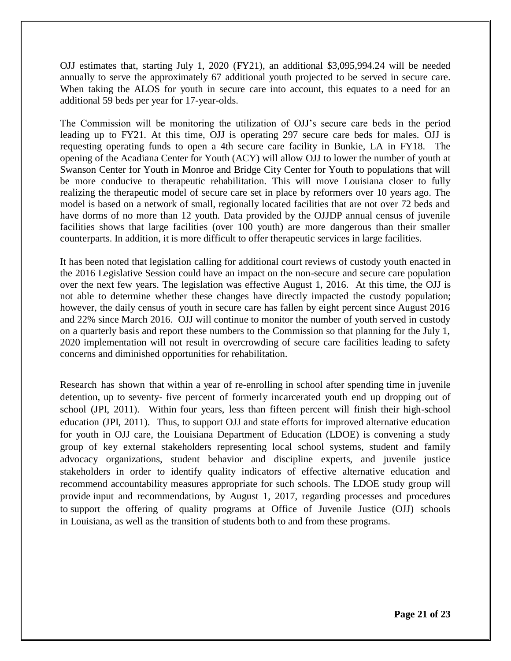OJJ estimates that, starting July 1, 2020 (FY21), an additional \$3,095,994.24 will be needed annually to serve the approximately 67 additional youth projected to be served in secure care. When taking the ALOS for youth in secure care into account, this equates to a need for an additional 59 beds per year for 17-year-olds.

The Commission will be monitoring the utilization of OJJ's secure care beds in the period leading up to FY21. At this time, OJJ is operating 297 secure care beds for males. OJJ is requesting operating funds to open a 4th secure care facility in Bunkie, LA in FY18. The opening of the Acadiana Center for Youth (ACY) will allow OJJ to lower the number of youth at Swanson Center for Youth in Monroe and Bridge City Center for Youth to populations that will be more conducive to therapeutic rehabilitation. This will move Louisiana closer to fully realizing the therapeutic model of secure care set in place by reformers over 10 years ago. The model is based on a network of small, regionally located facilities that are not over 72 beds and have dorms of no more than 12 youth. Data provided by the OJJDP annual census of juvenile facilities shows that large facilities (over 100 youth) are more dangerous than their smaller counterparts. In addition, it is more difficult to offer therapeutic services in large facilities.

It has been noted that legislation calling for additional court reviews of custody youth enacted in the 2016 Legislative Session could have an impact on the non-secure and secure care population over the next few years. The legislation was effective August 1, 2016. At this time, the OJJ is not able to determine whether these changes have directly impacted the custody population; however, the daily census of youth in secure care has fallen by eight percent since August 2016 and 22% since March 2016. OJJ will continue to monitor the number of youth served in custody on a quarterly basis and report these numbers to the Commission so that planning for the July 1, 2020 implementation will not result in overcrowding of secure care facilities leading to safety concerns and diminished opportunities for rehabilitation.

Research has shown that within a year of re-enrolling in school after spending time in juvenile detention, up to seventy- five percent of formerly incarcerated youth end up dropping out of school (JPI, 2011). Within four years, less than fifteen percent will finish their high-school education (JPI, 2011). Thus, to support OJJ and state efforts for improved alternative education for youth in OJJ care, the Louisiana Department of Education (LDOE) is convening a study group of key external stakeholders representing local school systems, student and family advocacy organizations, student behavior and discipline experts, and juvenile justice stakeholders in order to identify quality indicators of effective alternative education and recommend accountability measures appropriate for such schools. The LDOE study group will provide input and recommendations, by August 1, 2017, regarding processes and procedures to support the offering of quality programs at Office of Juvenile Justice (OJJ) schools in Louisiana, as well as the transition of students both to and from these programs.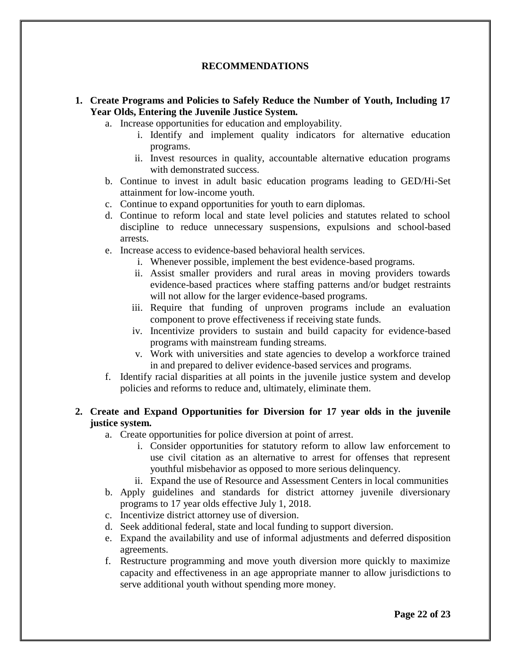## **RECOMMENDATIONS**

## **1. Create Programs and Policies to Safely Reduce the Number of Youth, Including 17 Year Olds, Entering the Juvenile Justice System.**

- a. Increase opportunities for education and employability.
	- i. Identify and implement quality indicators for alternative education programs.
	- ii. Invest resources in quality, accountable alternative education programs with demonstrated success.
- b. Continue to invest in adult basic education programs leading to GED/Hi-Set attainment for low-income youth.
- c. Continue to expand opportunities for youth to earn diplomas.
- d. Continue to reform local and state level policies and statutes related to school discipline to reduce unnecessary suspensions, expulsions and school-based arrests.
- e. Increase access to evidence-based behavioral health services.
	- i. Whenever possible, implement the best evidence-based programs.
	- ii. Assist smaller providers and rural areas in moving providers towards evidence-based practices where staffing patterns and/or budget restraints will not allow for the larger evidence-based programs.
	- iii. Require that funding of unproven programs include an evaluation component to prove effectiveness if receiving state funds.
	- iv. Incentivize providers to sustain and build capacity for evidence-based programs with mainstream funding streams.
	- v. Work with universities and state agencies to develop a workforce trained in and prepared to deliver evidence-based services and programs.
- f. Identify racial disparities at all points in the juvenile justice system and develop policies and reforms to reduce and, ultimately, eliminate them.

#### **2. Create and Expand Opportunities for Diversion for 17 year olds in the juvenile justice system.**

- a. Create opportunities for police diversion at point of arrest.
	- i. Consider opportunities for statutory reform to allow law enforcement to use civil citation as an alternative to arrest for offenses that represent youthful misbehavior as opposed to more serious delinquency.
	- ii. Expand the use of Resource and Assessment Centers in local communities
- b. Apply guidelines and standards for district attorney juvenile diversionary programs to 17 year olds effective July 1, 2018.
- c. Incentivize district attorney use of diversion.
- d. Seek additional federal, state and local funding to support diversion.
- e. Expand the availability and use of informal adjustments and deferred disposition agreements.
- f. Restructure programming and move youth diversion more quickly to maximize capacity and effectiveness in an age appropriate manner to allow jurisdictions to serve additional youth without spending more money.